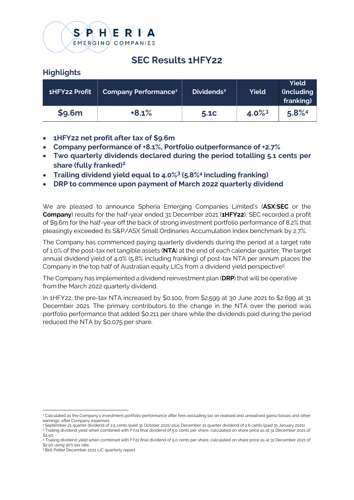

# **SEC Results 1HFY22**

# **Highlights**

| 1HFY22 Profit | <b>Company Performance<sup>1</sup></b> | Dividends <sup>2</sup> | <b>Yield</b>         | <b>Yield</b><br>(including $ $<br>franking) |
|---------------|----------------------------------------|------------------------|----------------------|---------------------------------------------|
| \$9.6m        | $+8.1%$                                | 5.1 <sub>C</sub>       | $4.0\%$ <sup>3</sup> | 5.8%4                                       |

- **1HFY22 net profit after tax of \$9.6m**
- **Company performance of +8.1%, Portfolio outperformance of +2.7%**
- **Two quarterly dividends declared during the period totalling 5.1 cents per share (fully franked)<sup>2</sup>**
- **Trailing dividend yield equal to 4.0%3 (5.8%4 including franking)**
- **DRP to commence upon payment of March 2022 quarterly dividend**

We are pleased to announce Spheria Emerging Companies Limited's (**ASX:SEC** or the **Company**) results for the half-year ended 31 December 2021 (**1HFY22**). SEC recorded a profit of \$9.6m for the half-year off the back of strong investment portfolio performance of 8.2% that pleasingly exceeded its S&P/ASX Small Ordinaries Accumulation Index benchmark by 2.7%.

The Company has commenced paying quarterly dividends during the period at a target rate of 1.0% of the post-tax net tangible assets (**NTA**) at the end of each calendar quarter. The target annual dividend yield of 4.0% (5.8% including franking) of post-tax NTA per annum places the Company in the top half of Australian equity LICs from a dividend yield perspective[5](#page-0-4) .

The Company has implemented a dividend reinvestment plan (**DRP**) that will be operative from the March 2022 quarterly dividend.

In 1HFY22, the pre-tax NTA increased by \$0.100, from \$2.599 at 30 June 2021 to \$2.699 at 31 December 2021. The primary contributors to the change in the NTA over the period was portfolio performance that added \$0.211 per share while the dividends paid during the period reduced the NTA by \$0.075 per share.

<span id="page-0-0"></span><sup>1</sup> Calculated as the Company's investment portfolio performance after fees excluding tax on realised and unrealised gains/losses and other earnings, after Company expenses.<br><sup>2</sup> September 21 quarter dividend of 2.5 cents (paid 31 October 2021) plus December 21 quarter dividend of 2.6 cents (paid 31 January 2021).

<span id="page-0-1"></span><sup>3</sup> Trailing dividend yield when combined with FY21 final dividend of 5.0 cents per share, calculated on share price as at 31 December 2021 of

<span id="page-0-3"></span><span id="page-0-2"></span><sup>\$2.50.&</sup>lt;br>4 Trailing dividend yield when combined with FY21 final dividend of 5.0 cents per share, calculated on share price as at 31 December 2021 of<br>\$2.50 using 30% tax rate.

<span id="page-0-4"></span><sup>&</sup>lt;sup>5</sup> Bell Potter December 2021 LIC quarterly report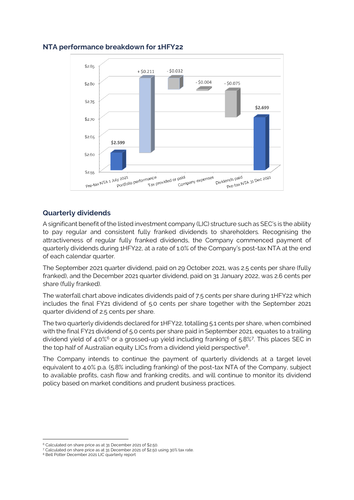

### **NTA performance breakdown for 1HFY22**

## **Quarterly dividends**

A significant benefit of the listed investment company (LIC) structure such as SEC's is the ability to pay regular and consistent fully franked dividends to shareholders. Recognising the attractiveness of regular fully franked dividends, the Company commenced payment of quarterly dividends during 1HFY22, at a rate of 1.0% of the Company's post-tax NTA at the end of each calendar quarter.

The September 2021 quarter dividend, paid on 29 October 2021, was 2.5 cents per share (fully franked), and the December 2021 quarter dividend, paid on 31 January 2022, was 2.6 cents per share (fully franked).

The waterfall chart above indicates dividends paid of 7.5 cents per share during 1HFY22 which includes the final FY21 dividend of 5.0 cents per share together with the September 2021 quarter dividend of 2.5 cents per share.

The two quarterly dividends declared for 1HFY22, totalling 5.1 cents per share, when combined with the final FY21 dividend of 5.0 cents per share paid in September 2021, equates to a trailing dividend yield of 4.0%<sup>[6](#page-1-0)</sup> or a grossed-up yield including franking of 5.8%<sup>7</sup>. This places SEC in the top half of Australian equity LICs from a dividend yield perspective<sup>8</sup>.

The Company intends to continue the payment of quarterly dividends at a target level equivalent to 4.0% p.a. (5.8% including franking) of the post-tax NTA of the Company, subject to available profits, cash flow and franking credits, and will continue to monitor its dividend policy based on market conditions and prudent business practices.

<span id="page-1-0"></span><sup>6</sup> Calculated on share price as at 31 December 2021 of \$2.50. 7 Calculated on share price as at 31 December 2021 of \$2.50 using 30% tax rate.

<span id="page-1-2"></span><span id="page-1-1"></span><sup>8</sup> Bell Potter December 2021 LIC quarterly report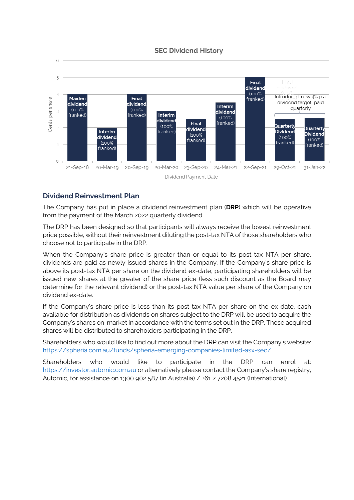### **SEC Dividend History**



### **Dividend Reinvestment Plan**

The Company has put in place a dividend reinvestment plan (**DRP**) which will be operative from the payment of the March 2022 quarterly dividend.

The DRP has been designed so that participants will always receive the lowest reinvestment price possible, without their reinvestment diluting the post-tax NTA of those shareholders who choose not to participate in the DRP.

When the Company's share price is greater than or equal to its post-tax NTA per share, dividends are paid as newly issued shares in the Company. If the Company's share price is above its post-tax NTA per share on the dividend ex-date, participating shareholders will be issued new shares at the greater of the share price (less such discount as the Board may determine for the relevant dividend) or the post-tax NTA value per share of the Company on dividend ex-date.

If the Company's share price is less than its post-tax NTA per share on the ex-date, cash available for distribution as dividends on shares subject to the DRP will be used to acquire the Company's shares on-market in accordance with the terms set out in the DRP. These acquired shares will be distributed to shareholders participating in the DRP.

Shareholders who would like to find out more about the DRP can visit the Company's website: [https://spheria.com.au/funds/spheria-emerging-companies-limited-asx-sec/.](https://spheria.com.au/funds/spheria-emerging-companies-limited-asx-sec/)

Shareholders who would like to participate in the DRP can enrol at: [https://investor.automic.com.au](https://investor.automic.com.au/) or alternatively please contact the Company's share registry, Automic, for assistance on 1300 902 587 (in Australia) / +61 2 7208 4521 (International).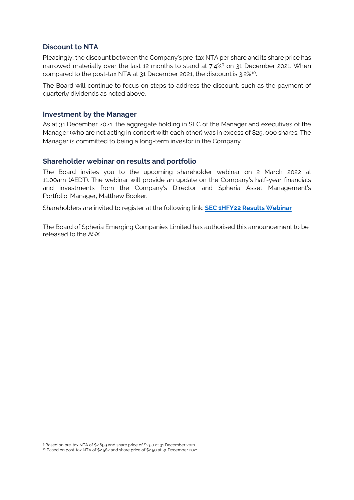### **Discount to NTA**

Pleasingly, the discount between the Company's pre-tax NTA per share and its share price has narrowed materially over the last 12 months to stand at 7.4%<sup>[9](#page-3-0)</sup> on 31 December 2021. When compared to the post-tax NTA at 31 December 2021, the discount is 3.2%<sup>[10](#page-3-1)</sup>.

The Board will continue to focus on steps to address the discount, such as the payment of quarterly dividends as noted above.

### **Investment by the Manager**

As at 31 December 2021, the aggregate holding in SEC of the Manager and executives of the Manager (who are not acting in concert with each other) was in excess of 825, 000 shares. The Manager is committed to being a long-term investor in the Company.

### **Shareholder webinar on results and portfolio**

The Board invites you to the upcoming shareholder webinar on 2 March 2022 at 11.00am (AEDT). The webinar will provide an update on the Company's half-year financials and investments from the Company's Director and Spheria Asset Management's Portfolio Manager, Matthew Booker.

Shareholders are invited to register at the following link: **SEC [1HFY22 Results Webinar](https://event.on24.com/wcc/r/3642621/FB177A2A1BC456EEEFEB5F699E3489D2)**

The Board of Spheria Emerging Companies Limited has authorised this announcement to be released to the ASX.

<span id="page-3-0"></span><sup>9</sup> Based on pre-tax NTA of \$2.699 and share price of \$2.50 at 31 December 2021.<br><sup>10</sup> Based on post-tax NTA of \$2.582 and share price of \$2.50 at 31 December 2021.

<span id="page-3-1"></span>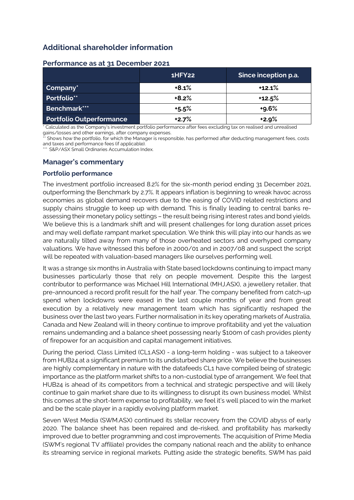# **Additional shareholder information**

|                                 | 1HFY22  | Since inception p.a. |  |  |
|---------------------------------|---------|----------------------|--|--|
| Company*                        | $+8.1%$ | $+12.1%$             |  |  |
| Portfolio**                     | $+8.2%$ | $+12.5%$             |  |  |
| <b>Benchmark***</b>             | $+5.5%$ | $+9.6%$              |  |  |
| <b>Portfolio Outperformance</b> | $+2.7%$ | $+2.9%$              |  |  |

### **Performance as at 31 December 2021**

\* Calculated as the Company's investment portfolio performance after fees excluding tax on realised and unrealised gains/losses and other earnings, after company expenses.

Shows how the portfolio, for which the Manager is responsible, has performed after deducting management fees, costs and taxes and performance fees (if applicable).<br>\*\*\* COD 40CV Contract in the manual

S&P/ASX Small Ordinaries Accumulation Index.

### **Manager's commentary**

### **Portfolio performance**

The investment portfolio increased 8.2% for the six-month period ending 31 December 2021, outperforming the Benchmark by 2.7%. It appears inflation is beginning to wreak havoc across economies as global demand recovers due to the easing of COVID related restrictions and supply chains struggle to keep up with demand. This is finally leading to central banks reassessing their monetary policy settings – the result being rising interest rates and bond yields. We believe this is a landmark shift and will present challenges for long duration asset prices and may well deflate rampant market speculation. We think this will play into our hands as we are naturally tilted away from many of those overheated sectors and overhyped company valuations. We have witnessed this before in 2000/01 and in 2007/08 and suspect the script will be repeated with valuation-based managers like ourselves performing well.

It was a strange six months in Australia with State based lockdowns continuing to impact many businesses particularly those that rely on people movement. Despite this the largest contributor to performance was Michael Hill International (MHJ.ASX), a jewellery retailer, that pre-announced a record profit result for the half year. The company benefited from catch-up spend when lockdowns were eased in the last couple months of year and from great execution by a relatively new management team which has significantly reshaped the business over the last two years. Further normalisation in its key operating markets of Australia, Canada and New Zealand will in theory continue to improve profitability and yet the valuation remains undemanding and a balance sheet possessing nearly \$100m of cash provides plenty of firepower for an acquisition and capital management initiatives.

During the period, Class Limited (CL1.ASX) - a long-term holding - was subject to a takeover from HUB24 at a significant premium to its undisturbed share price. We believe the businesses are highly complementary in nature with the datafeeds CL1 have compiled being of strategic importance as the platform market shifts to a non-custodial type of arrangement. We feel that HUB24 is ahead of its competitors from a technical and strategic perspective and will likely continue to gain market share due to its willingness to disrupt its own business model. Whilst this comes at the short-term expense to profitability, we feel it's well placed to win the market and be the scale player in a rapidly evolving platform market.

Seven West Media (SWM.ASX) continued its stellar recovery from the COVID abyss of early 2020. The balance sheet has been repaired and de-risked, and profitability has markedly improved due to better programming and cost improvements. The acquisition of Prime Media (SWM's regional TV affiliate) provides the company national reach and the ability to enhance its streaming service in regional markets. Putting aside the strategic benefits, SWM has paid